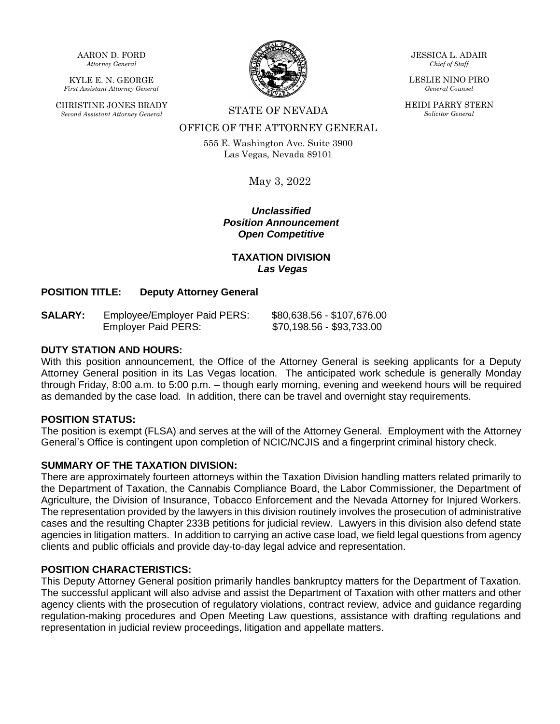AARON D. FORD *Attorney General*

KYLE E. N. GEORGE *First Assistant Attorney General*

CHRISTINE JONES BRADY *Second Assistant Attorney General* STATE OF NEVADA



OFFICE OF THE ATTORNEY GENERAL

555 E. Washington Ave. Suite 3900 Las Vegas, Nevada 89101

May 3, 2022

*Unclassified Position Announcement Open Competitive*

# **TAXATION DIVISION** *Las Vegas*

# **POSITION TITLE: Deputy Attorney General**

| <b>SALARY:</b> | Employee/Employer Paid PERS: | \$80,638.56 - \$107,676.00 |
|----------------|------------------------------|----------------------------|
|                | <b>Employer Paid PERS:</b>   | \$70,198.56 - \$93,733.00  |

#### **DUTY STATION AND HOURS:**

With this position announcement, the Office of the Attorney General is seeking applicants for a Deputy Attorney General position in its Las Vegas location. The anticipated work schedule is generally Monday through Friday, 8:00 a.m. to 5:00 p.m. – though early morning, evening and weekend hours will be required as demanded by the case load. In addition, there can be travel and overnight stay requirements.

#### **POSITION STATUS:**

The position is exempt (FLSA) and serves at the will of the Attorney General. Employment with the Attorney General's Office is contingent upon completion of NCIC/NCJIS and a fingerprint criminal history check.

## **SUMMARY OF THE TAXATION DIVISION:**

There are approximately fourteen attorneys within the Taxation Division handling matters related primarily to the Department of Taxation, the Cannabis Compliance Board, the Labor Commissioner, the Department of Agriculture, the Division of Insurance, Tobacco Enforcement and the Nevada Attorney for Injured Workers. The representation provided by the lawyers in this division routinely involves the prosecution of administrative cases and the resulting Chapter 233B petitions for judicial review. Lawyers in this division also defend state agencies in litigation matters. In addition to carrying an active case load, we field legal questions from agency clients and public officials and provide day-to-day legal advice and representation.

## **POSITION CHARACTERISTICS:**

This Deputy Attorney General position primarily handles bankruptcy matters for the Department of Taxation. The successful applicant will also advise and assist the Department of Taxation with other matters and other agency clients with the prosecution of regulatory violations, contract review, advice and guidance regarding regulation-making procedures and Open Meeting Law questions, assistance with drafting regulations and representation in judicial review proceedings, litigation and appellate matters.

JESSICA L. ADAIR *Chief of Staff*

LESLIE NINO PIRO *General Counsel*

HEIDI PARRY STERN *Solicitor General*